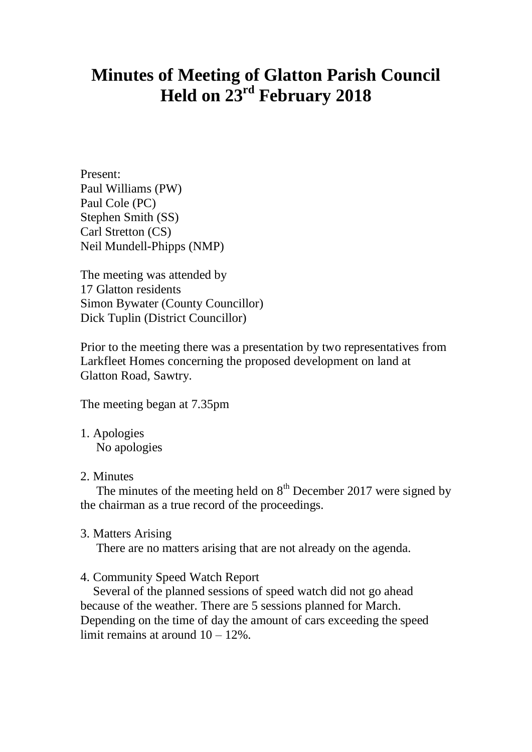# **Minutes of Meeting of Glatton Parish Council Held on 23rd February 2018**

Present: Paul Williams (PW) Paul Cole (PC) Stephen Smith (SS) Carl Stretton (CS) Neil Mundell-Phipps (NMP)

The meeting was attended by 17 Glatton residents Simon Bywater (County Councillor) Dick Tuplin (District Councillor)

Prior to the meeting there was a presentation by two representatives from Larkfleet Homes concerning the proposed development on land at Glatton Road, Sawtry.

The meeting began at 7.35pm

- 1. Apologies No apologies
- 2. Minutes

The minutes of the meeting held on  $8<sup>th</sup>$  December 2017 were signed by the chairman as a true record of the proceedings.

3. Matters Arising

There are no matters arising that are not already on the agenda.

4. Community Speed Watch Report

 Several of the planned sessions of speed watch did not go ahead because of the weather. There are 5 sessions planned for March. Depending on the time of day the amount of cars exceeding the speed limit remains at around 10 – 12%.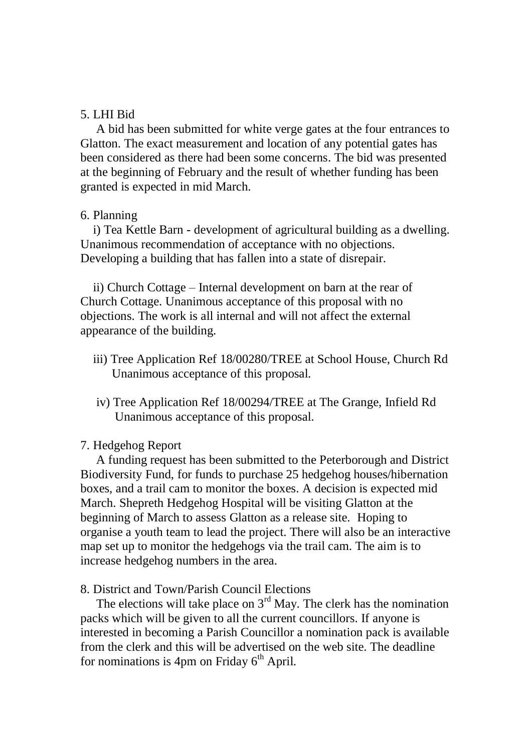### 5. LHI Bid

 A bid has been submitted for white verge gates at the four entrances to Glatton. The exact measurement and location of any potential gates has been considered as there had been some concerns. The bid was presented at the beginning of February and the result of whether funding has been granted is expected in mid March.

### 6. Planning

 i) Tea Kettle Barn - development of agricultural building as a dwelling. Unanimous recommendation of acceptance with no objections. Developing a building that has fallen into a state of disrepair.

 ii) Church Cottage – Internal development on barn at the rear of Church Cottage. Unanimous acceptance of this proposal with no objections. The work is all internal and will not affect the external appearance of the building.

- iii) Tree Application Ref 18/00280/TREE at School House, Church Rd Unanimous acceptance of this proposal.
- iv) Tree Application Ref 18/00294/TREE at The Grange, Infield Rd Unanimous acceptance of this proposal.

### 7. Hedgehog Report

 A funding request has been submitted to the Peterborough and District Biodiversity Fund, for funds to purchase 25 hedgehog houses/hibernation boxes, and a trail cam to monitor the boxes. A decision is expected mid March. Shepreth Hedgehog Hospital will be visiting Glatton at the beginning of March to assess Glatton as a release site. Hoping to organise a youth team to lead the project. There will also be an interactive map set up to monitor the hedgehogs via the trail cam. The aim is to increase hedgehog numbers in the area.

8. District and Town/Parish Council Elections

The elections will take place on  $3<sup>rd</sup>$  May. The clerk has the nomination packs which will be given to all the current councillors. If anyone is interested in becoming a Parish Councillor a nomination pack is available from the clerk and this will be advertised on the web site. The deadline for nominations is 4pm on Friday  $6<sup>th</sup>$  April.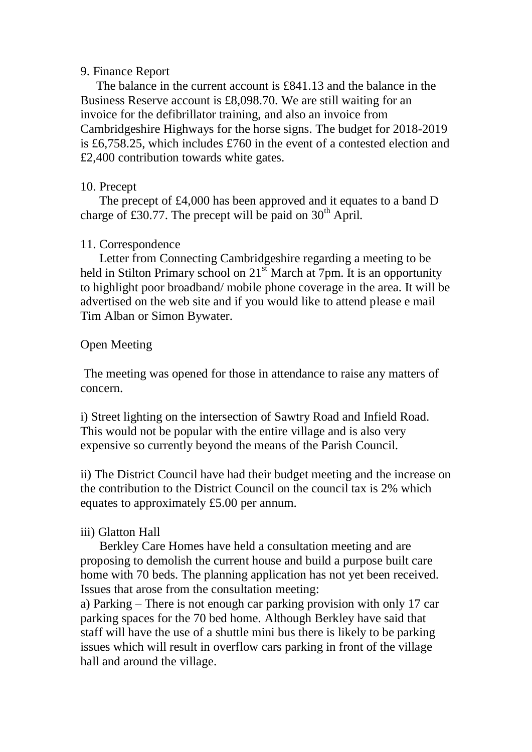## 9. Finance Report

 The balance in the current account is £841.13 and the balance in the Business Reserve account is £8,098.70. We are still waiting for an invoice for the defibrillator training, and also an invoice from Cambridgeshire Highways for the horse signs. The budget for 2018-2019 is £6,758.25, which includes £760 in the event of a contested election and £2,400 contribution towards white gates.

## 10. Precept

 The precept of £4,000 has been approved and it equates to a band D charge of £30.77. The precept will be paid on  $30<sup>th</sup>$  April.

## 11. Correspondence

 Letter from Connecting Cambridgeshire regarding a meeting to be held in Stilton Primary school on  $21<sup>st</sup>$  March at 7pm. It is an opportunity to highlight poor broadband/ mobile phone coverage in the area. It will be advertised on the web site and if you would like to attend please e mail Tim Alban or Simon Bywater.

# Open Meeting

The meeting was opened for those in attendance to raise any matters of concern.

i) Street lighting on the intersection of Sawtry Road and Infield Road. This would not be popular with the entire village and is also very expensive so currently beyond the means of the Parish Council.

ii) The District Council have had their budget meeting and the increase on the contribution to the District Council on the council tax is 2% which equates to approximately £5.00 per annum.

# iii) Glatton Hall

 Berkley Care Homes have held a consultation meeting and are proposing to demolish the current house and build a purpose built care home with 70 beds. The planning application has not yet been received. Issues that arose from the consultation meeting:

a) Parking – There is not enough car parking provision with only 17 car parking spaces for the 70 bed home. Although Berkley have said that staff will have the use of a shuttle mini bus there is likely to be parking issues which will result in overflow cars parking in front of the village hall and around the village.